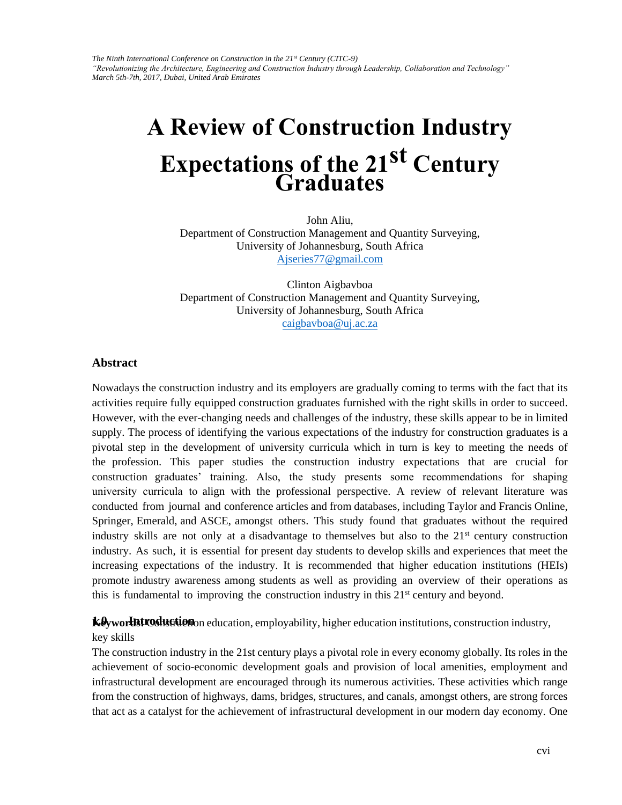*The Ninth International Conference on Construction in the 21st Century (CITC-9) "Revolutionizing the Architecture, Engineering and Construction Industry through Leadership, Collaboration and Technology" March 5th-7th, 2017, Dubai, United Arab Emirates* 

# **A Review of Construction Industry Expectations of the 21st Century Graduates**

[John Aliu,](mailto:Ajseries77@gmail.com)  Department of Construction Management and Quantity Surveying, University of Johannesburg, South Africa Ajseries77@gmail.com

[Clinton Aigbavboa](mailto:caigbavboa@uj.ac.za)  Department of Construction Management and Quantity Surveying, University of Johannesburg, South Africa caigbavboa@uj.ac.za

#### **Abstract**

Nowadays the construction industry and its employers are gradually coming to terms with the fact that its activities require fully equipped construction graduates furnished with the right skills in order to succeed. However, with the ever-changing needs and challenges of the industry, these skills appear to be in limited supply. The process of identifying the various expectations of the industry for construction graduates is a pivotal step in the development of university curricula which in turn is key to meeting the needs of the profession. This paper studies the construction industry expectations that are crucial for construction graduates' training. Also, the study presents some recommendations for shaping university curricula to align with the professional perspective. A review of relevant literature was conducted from journal and conference articles and from databases, including Taylor and Francis Online, Springer, Emerald, and ASCE, amongst others. This study found that graduates without the required industry skills are not only at a disadvantage to themselves but also to the  $21<sup>st</sup>$  century construction industry. As such, it is essential for present day students to develop skills and experiences that meet the increasing expectations of the industry. It is recommended that higher education institutions (HEIs) promote industry awareness among students as well as providing an overview of their operations as this is fundamental to improving the construction industry in this  $21<sup>st</sup>$  century and beyond.

**Keyworlestroduction** education, employability, higher education institutions, construction industry, key skills

The construction industry in the 21st century plays a pivotal role in every economy globally. Its roles in the achievement of socio-economic development goals and provision of local amenities, employment and infrastructural development are encouraged through its numerous activities. These activities which range from the construction of highways, dams, bridges, structures, and canals, amongst others, are strong forces that act as a catalyst for the achievement of infrastructural development in our modern day economy. One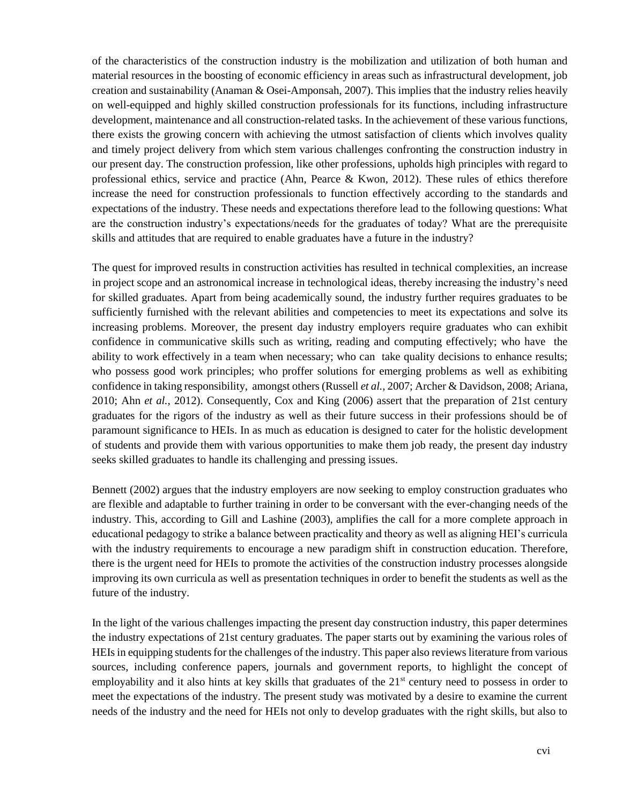of the characteristics of the construction industry is the mobilization and utilization of both human and material resources in the boosting of economic efficiency in areas such as infrastructural development, job creation and sustainability (Anaman & Osei-Amponsah, 2007). This implies that the industry relies heavily on well-equipped and highly skilled construction professionals for its functions, including infrastructure development, maintenance and all construction-related tasks. In the achievement of these various functions, there exists the growing concern with achieving the utmost satisfaction of clients which involves quality and timely project delivery from which stem various challenges confronting the construction industry in our present day. The construction profession, like other professions, upholds high principles with regard to professional ethics, service and practice (Ahn, Pearce & Kwon, 2012). These rules of ethics therefore increase the need for construction professionals to function effectively according to the standards and expectations of the industry. These needs and expectations therefore lead to the following questions: What are the construction industry's expectations/needs for the graduates of today? What are the prerequisite skills and attitudes that are required to enable graduates have a future in the industry?

The quest for improved results in construction activities has resulted in technical complexities, an increase in project scope and an astronomical increase in technological ideas, thereby increasing the industry's need for skilled graduates. Apart from being academically sound, the industry further requires graduates to be sufficiently furnished with the relevant abilities and competencies to meet its expectations and solve its increasing problems. Moreover, the present day industry employers require graduates who can exhibit confidence in communicative skills such as writing, reading and computing effectively; who have the ability to work effectively in a team when necessary; who can take quality decisions to enhance results; who possess good work principles; who proffer solutions for emerging problems as well as exhibiting confidence in taking responsibility, amongst others (Russell *et al.,* 2007; Archer & Davidson, 2008; Ariana, 2010; Ahn *et al.,* 2012). Consequently, Cox and King (2006) assert that the preparation of 21st century graduates for the rigors of the industry as well as their future success in their professions should be of paramount significance to HEIs. In as much as education is designed to cater for the holistic development of students and provide them with various opportunities to make them job ready, the present day industry seeks skilled graduates to handle its challenging and pressing issues.

Bennett (2002) argues that the industry employers are now seeking to employ construction graduates who are flexible and adaptable to further training in order to be conversant with the ever-changing needs of the industry. This, according to Gill and Lashine (2003), amplifies the call for a more complete approach in educational pedagogy to strike a balance between practicality and theory as well as aligning HEI's curricula with the industry requirements to encourage a new paradigm shift in construction education. Therefore, there is the urgent need for HEIs to promote the activities of the construction industry processes alongside improving its own curricula as well as presentation techniques in order to benefit the students as well as the future of the industry.

In the light of the various challenges impacting the present day construction industry, this paper determines the industry expectations of 21st century graduates. The paper starts out by examining the various roles of HEIs in equipping students for the challenges of the industry. This paper also reviews literature from various sources, including conference papers, journals and government reports, to highlight the concept of employability and it also hints at key skills that graduates of the  $21<sup>st</sup>$  century need to possess in order to meet the expectations of the industry. The present study was motivated by a desire to examine the current needs of the industry and the need for HEIs not only to develop graduates with the right skills, but also to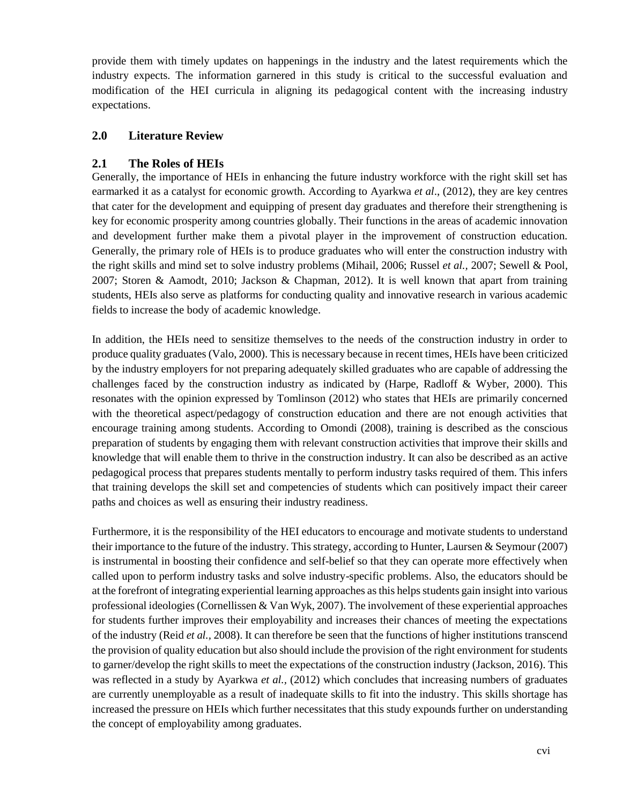provide them with timely updates on happenings in the industry and the latest requirements which the industry expects. The information garnered in this study is critical to the successful evaluation and modification of the HEI curricula in aligning its pedagogical content with the increasing industry expectations.

## **2.0 Literature Review**

## **2.1 The Roles of HEIs**

Generally, the importance of HEIs in enhancing the future industry workforce with the right skill set has earmarked it as a catalyst for economic growth. According to Ayarkwa *et al*., (2012), they are key centres that cater for the development and equipping of present day graduates and therefore their strengthening is key for economic prosperity among countries globally. Their functions in the areas of academic innovation and development further make them a pivotal player in the improvement of construction education. Generally, the primary role of HEIs is to produce graduates who will enter the construction industry with the right skills and mind set to solve industry problems (Mihail, 2006; Russel *et al.,* 2007; Sewell & Pool, 2007; Storen & Aamodt, 2010; Jackson & Chapman, 2012). It is well known that apart from training students, HEIs also serve as platforms for conducting quality and innovative research in various academic fields to increase the body of academic knowledge.

In addition, the HEIs need to sensitize themselves to the needs of the construction industry in order to produce quality graduates (Valo, 2000). This is necessary because in recent times, HEIs have been criticized by the industry employers for not preparing adequately skilled graduates who are capable of addressing the challenges faced by the construction industry as indicated by (Harpe, Radloff & Wyber, 2000). This resonates with the opinion expressed by Tomlinson (2012) who states that HEIs are primarily concerned with the theoretical aspect/pedagogy of construction education and there are not enough activities that encourage training among students. According to Omondi (2008), training is described as the conscious preparation of students by engaging them with relevant construction activities that improve their skills and knowledge that will enable them to thrive in the construction industry. It can also be described as an active pedagogical process that prepares students mentally to perform industry tasks required of them. This infers that training develops the skill set and competencies of students which can positively impact their career paths and choices as well as ensuring their industry readiness.

Furthermore, it is the responsibility of the HEI educators to encourage and motivate students to understand their importance to the future of the industry. This strategy, according to Hunter, Laursen & Seymour (2007) is instrumental in boosting their confidence and self-belief so that they can operate more effectively when called upon to perform industry tasks and solve industry-specific problems. Also, the educators should be at the forefront of integrating experiential learning approaches as this helps students gain insight into various professional ideologies (Cornellissen & Van Wyk, 2007). The involvement of these experiential approaches for students further improves their employability and increases their chances of meeting the expectations of the industry (Reid *et al.,* 2008). It can therefore be seen that the functions of higher institutions transcend the provision of quality education but also should include the provision of the right environment for students to garner/develop the right skills to meet the expectations of the construction industry (Jackson, 2016). This was reflected in a study by Ayarkwa *et al.,* (2012) which concludes that increasing numbers of graduates are currently unemployable as a result of inadequate skills to fit into the industry. This skills shortage has increased the pressure on HEIs which further necessitates that this study expounds further on understanding the concept of employability among graduates.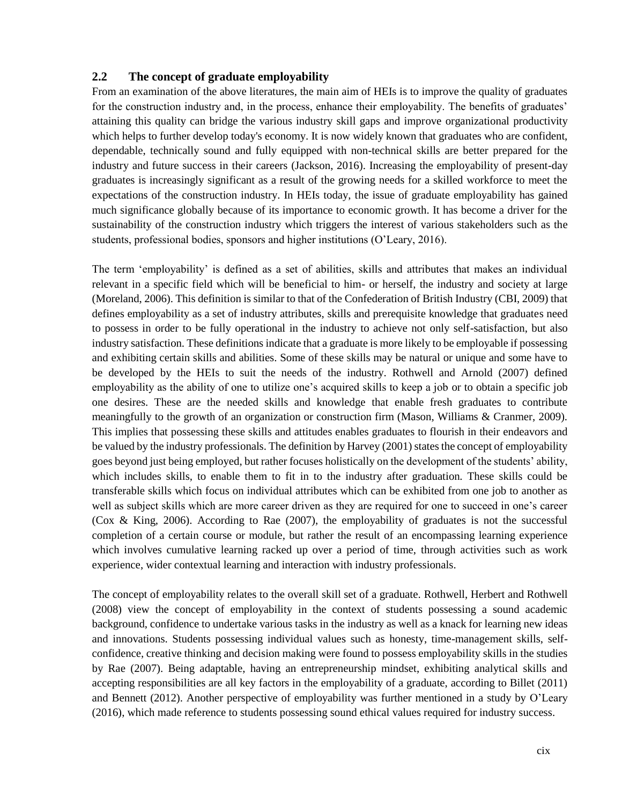#### **2.2 The concept of graduate employability**

From an examination of the above literatures, the main aim of HEIs is to improve the quality of graduates for the construction industry and, in the process, enhance their employability. The benefits of graduates' attaining this quality can bridge the various industry skill gaps and improve organizational productivity which helps to further develop today's economy. It is now widely known that graduates who are confident, dependable, technically sound and fully equipped with non-technical skills are better prepared for the industry and future success in their careers (Jackson, 2016). Increasing the employability of present-day graduates is increasingly significant as a result of the growing needs for a skilled workforce to meet the expectations of the construction industry. In HEIs today, the issue of graduate employability has gained much significance globally because of its importance to economic growth. It has become a driver for the sustainability of the construction industry which triggers the interest of various stakeholders such as the students, professional bodies, sponsors and higher institutions (O'Leary, 2016).

The term 'employability' is defined as a set of abilities, skills and attributes that makes an individual relevant in a specific field which will be beneficial to him- or herself, the industry and society at large (Moreland, 2006). This definition is similar to that of the Confederation of British Industry (CBI, 2009) that defines employability as a set of industry attributes, skills and prerequisite knowledge that graduates need to possess in order to be fully operational in the industry to achieve not only self-satisfaction, but also industry satisfaction. These definitions indicate that a graduate is more likely to be employable if possessing and exhibiting certain skills and abilities. Some of these skills may be natural or unique and some have to be developed by the HEIs to suit the needs of the industry. Rothwell and Arnold (2007) defined employability as the ability of one to utilize one's acquired skills to keep a job or to obtain a specific job one desires. These are the needed skills and knowledge that enable fresh graduates to contribute meaningfully to the growth of an organization or construction firm (Mason, Williams & Cranmer, 2009). This implies that possessing these skills and attitudes enables graduates to flourish in their endeavors and be valued by the industry professionals. The definition by Harvey (2001) states the concept of employability goes beyond just being employed, but rather focuses holistically on the development of the students' ability, which includes skills, to enable them to fit in to the industry after graduation. These skills could be transferable skills which focus on individual attributes which can be exhibited from one job to another as well as subject skills which are more career driven as they are required for one to succeed in one's career (Cox & King, 2006). According to Rae (2007), the employability of graduates is not the successful completion of a certain course or module, but rather the result of an encompassing learning experience which involves cumulative learning racked up over a period of time, through activities such as work experience, wider contextual learning and interaction with industry professionals.

The concept of employability relates to the overall skill set of a graduate. Rothwell, Herbert and Rothwell (2008) view the concept of employability in the context of students possessing a sound academic background, confidence to undertake various tasks in the industry as well as a knack for learning new ideas and innovations. Students possessing individual values such as honesty, time-management skills, selfconfidence, creative thinking and decision making were found to possess employability skills in the studies by Rae (2007). Being adaptable, having an entrepreneurship mindset, exhibiting analytical skills and accepting responsibilities are all key factors in the employability of a graduate, according to Billet (2011) and Bennett (2012). Another perspective of employability was further mentioned in a study by O'Leary (2016), which made reference to students possessing sound ethical values required for industry success.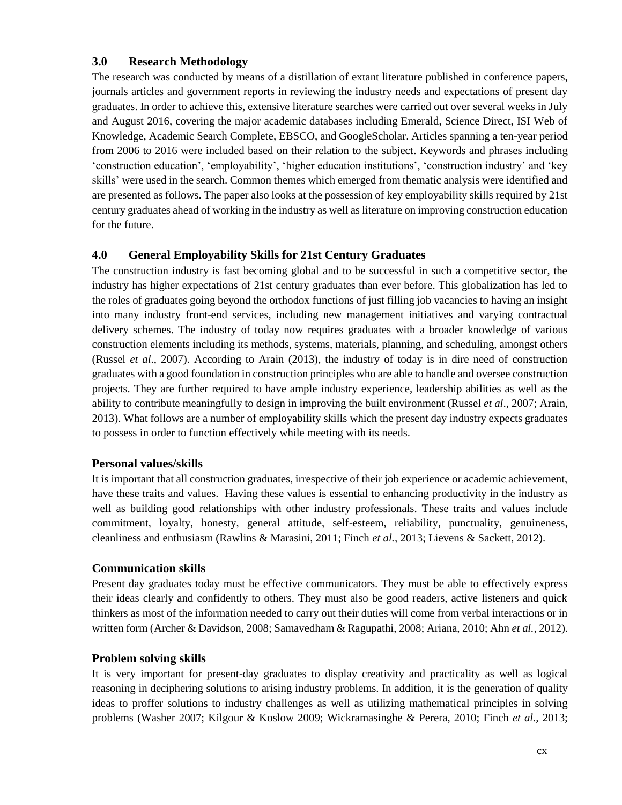## **3.0 Research Methodology**

The research was conducted by means of a distillation of extant literature published in conference papers, journals articles and government reports in reviewing the industry needs and expectations of present day graduates. In order to achieve this, extensive literature searches were carried out over several weeks in July and August 2016, covering the major academic databases including Emerald, Science Direct, ISI Web of Knowledge, Academic Search Complete, EBSCO, and GoogleScholar. Articles spanning a ten-year period from 2006 to 2016 were included based on their relation to the subject. Keywords and phrases including 'construction education', 'employability', 'higher education institutions', 'construction industry' and 'key skills' were used in the search. Common themes which emerged from thematic analysis were identified and are presented as follows. The paper also looks at the possession of key employability skills required by 21st century graduates ahead of working in the industry as well as literature on improving construction education for the future.

## **4.0 General Employability Skills for 21st Century Graduates**

The construction industry is fast becoming global and to be successful in such a competitive sector, the industry has higher expectations of 21st century graduates than ever before. This globalization has led to the roles of graduates going beyond the orthodox functions of just filling job vacancies to having an insight into many industry front-end services, including new management initiatives and varying contractual delivery schemes. The industry of today now requires graduates with a broader knowledge of various construction elements including its methods, systems, materials, planning, and scheduling, amongst others (Russel *et al*., 2007). According to Arain (2013), the industry of today is in dire need of construction graduates with a good foundation in construction principles who are able to handle and oversee construction projects. They are further required to have ample industry experience, leadership abilities as well as the ability to contribute meaningfully to design in improving the built environment (Russel *et al*., 2007; Arain, 2013). What follows are a number of employability skills which the present day industry expects graduates to possess in order to function effectively while meeting with its needs.

#### **Personal values/skills**

It is important that all construction graduates, irrespective of their job experience or academic achievement, have these traits and values. Having these values is essential to enhancing productivity in the industry as well as building good relationships with other industry professionals. These traits and values include commitment, loyalty, honesty, general attitude, self-esteem, reliability, punctuality, genuineness, cleanliness and enthusiasm (Rawlins & Marasini, 2011; Finch *et al.,* 2013; Lievens & Sackett, 2012).

#### **Communication skills**

Present day graduates today must be effective communicators. They must be able to effectively express their ideas clearly and confidently to others. They must also be good readers, active listeners and quick thinkers as most of the information needed to carry out their duties will come from verbal interactions or in written form (Archer & Davidson, 2008; Samavedham & Ragupathi, 2008; Ariana, 2010; Ahn *et al.,* 2012).

#### **Problem solving skills**

It is very important for present-day graduates to display creativity and practicality as well as logical reasoning in deciphering solutions to arising industry problems. In addition, it is the generation of quality ideas to proffer solutions to industry challenges as well as utilizing mathematical principles in solving problems (Washer 2007; Kilgour & Koslow 2009; Wickramasinghe & Perera, 2010; Finch *et al.,* 2013;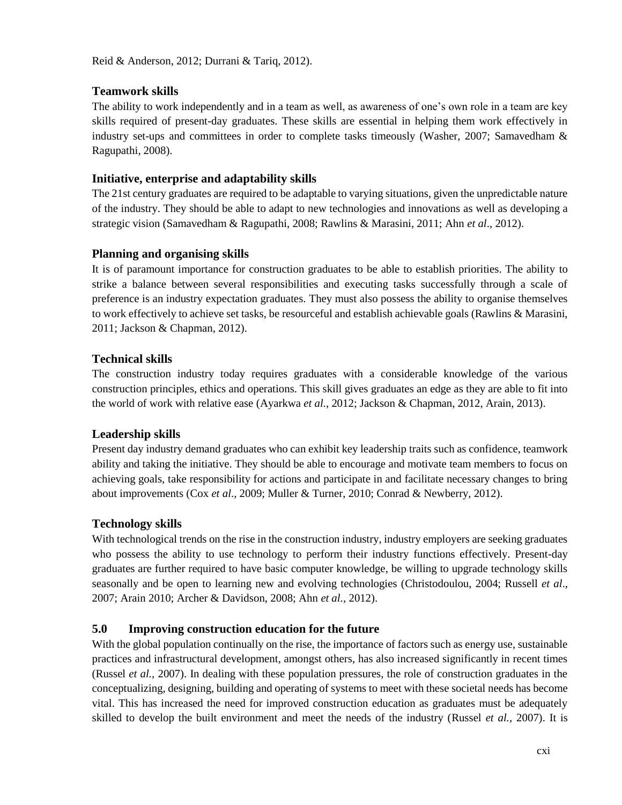## **Teamwork skills**

The ability to work independently and in a team as well, as awareness of one's own role in a team are key skills required of present-day graduates. These skills are essential in helping them work effectively in industry set-ups and committees in order to complete tasks timeously (Washer, 2007; Samavedham & Ragupathi, 2008).

#### **Initiative, enterprise and adaptability skills**

The 21st century graduates are required to be adaptable to varying situations, given the unpredictable nature of the industry. They should be able to adapt to new technologies and innovations as well as developing a strategic vision (Samavedham & Ragupathi, 2008; Rawlins & Marasini, 2011; Ahn *et al*., 2012).

## **Planning and organising skills**

It is of paramount importance for construction graduates to be able to establish priorities. The ability to strike a balance between several responsibilities and executing tasks successfully through a scale of preference is an industry expectation graduates. They must also possess the ability to organise themselves to work effectively to achieve set tasks, be resourceful and establish achievable goals (Rawlins & Marasini, 2011; Jackson & Chapman, 2012).

## **Technical skills**

The construction industry today requires graduates with a considerable knowledge of the various construction principles, ethics and operations. This skill gives graduates an edge as they are able to fit into the world of work with relative ease (Ayarkwa *et al.,* 2012; Jackson & Chapman, 2012, Arain, 2013).

# **Leadership skills**

Present day industry demand graduates who can exhibit key leadership traits such as confidence, teamwork ability and taking the initiative. They should be able to encourage and motivate team members to focus on achieving goals, take responsibility for actions and participate in and facilitate necessary changes to bring about improvements (Cox *et al*., 2009; Muller & Turner, 2010; Conrad & Newberry, 2012).

#### **Technology skills**

With technological trends on the rise in the construction industry, industry employers are seeking graduates who possess the ability to use technology to perform their industry functions effectively. Present-day graduates are further required to have basic computer knowledge, be willing to upgrade technology skills seasonally and be open to learning new and evolving technologies (Christodoulou, 2004; Russell *et al*., 2007; Arain 2010; Archer & Davidson, 2008; Ahn *et al.,* 2012).

# **5.0 Improving construction education for the future**

With the global population continually on the rise, the importance of factors such as energy use, sustainable practices and infrastructural development, amongst others, has also increased significantly in recent times (Russel *et al.,* 2007). In dealing with these population pressures, the role of construction graduates in the conceptualizing, designing, building and operating of systems to meet with these societal needs has become vital. This has increased the need for improved construction education as graduates must be adequately skilled to develop the built environment and meet the needs of the industry (Russel *et al.,* 2007). It is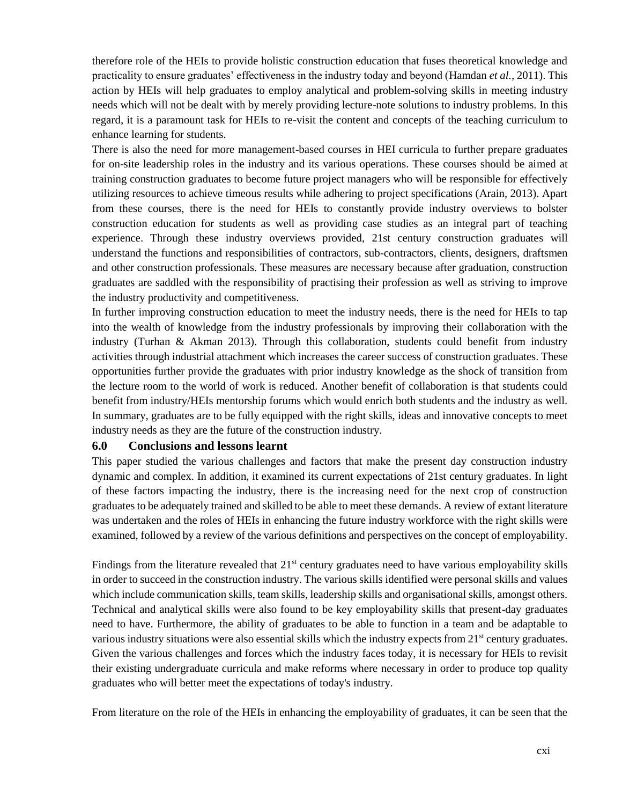therefore role of the HEIs to provide holistic construction education that fuses theoretical knowledge and practicality to ensure graduates' effectiveness in the industry today and beyond (Hamdan *et al.,* 2011). This action by HEIs will help graduates to employ analytical and problem-solving skills in meeting industry needs which will not be dealt with by merely providing lecture-note solutions to industry problems. In this regard, it is a paramount task for HEIs to re-visit the content and concepts of the teaching curriculum to enhance learning for students.

There is also the need for more management-based courses in HEI curricula to further prepare graduates for on-site leadership roles in the industry and its various operations. These courses should be aimed at training construction graduates to become future project managers who will be responsible for effectively utilizing resources to achieve timeous results while adhering to project specifications (Arain, 2013). Apart from these courses, there is the need for HEIs to constantly provide industry overviews to bolster construction education for students as well as providing case studies as an integral part of teaching experience. Through these industry overviews provided, 21st century construction graduates will understand the functions and responsibilities of contractors, sub-contractors, clients, designers, draftsmen and other construction professionals. These measures are necessary because after graduation, construction graduates are saddled with the responsibility of practising their profession as well as striving to improve the industry productivity and competitiveness.

In further improving construction education to meet the industry needs, there is the need for HEIs to tap into the wealth of knowledge from the industry professionals by improving their collaboration with the industry (Turhan & Akman 2013). Through this collaboration, students could benefit from industry activities through industrial attachment which increases the career success of construction graduates. These opportunities further provide the graduates with prior industry knowledge as the shock of transition from the lecture room to the world of work is reduced. Another benefit of collaboration is that students could benefit from industry/HEIs mentorship forums which would enrich both students and the industry as well. In summary, graduates are to be fully equipped with the right skills, ideas and innovative concepts to meet industry needs as they are the future of the construction industry.

#### **6.0 Conclusions and lessons learnt**

This paper studied the various challenges and factors that make the present day construction industry dynamic and complex. In addition, it examined its current expectations of 21st century graduates. In light of these factors impacting the industry, there is the increasing need for the next crop of construction graduates to be adequately trained and skilled to be able to meet these demands. A review of extant literature was undertaken and the roles of HEIs in enhancing the future industry workforce with the right skills were examined, followed by a review of the various definitions and perspectives on the concept of employability.

Findings from the literature revealed that  $21<sup>st</sup>$  century graduates need to have various employability skills in order to succeed in the construction industry. The various skills identified were personal skills and values which include communication skills, team skills, leadership skills and organisational skills, amongst others. Technical and analytical skills were also found to be key employability skills that present-day graduates need to have. Furthermore, the ability of graduates to be able to function in a team and be adaptable to various industry situations were also essential skills which the industry expects from  $21<sup>st</sup>$  century graduates. Given the various challenges and forces which the industry faces today, it is necessary for HEIs to revisit their existing undergraduate curricula and make reforms where necessary in order to produce top quality graduates who will better meet the expectations of today's industry.

From literature on the role of the HEIs in enhancing the employability of graduates, it can be seen that the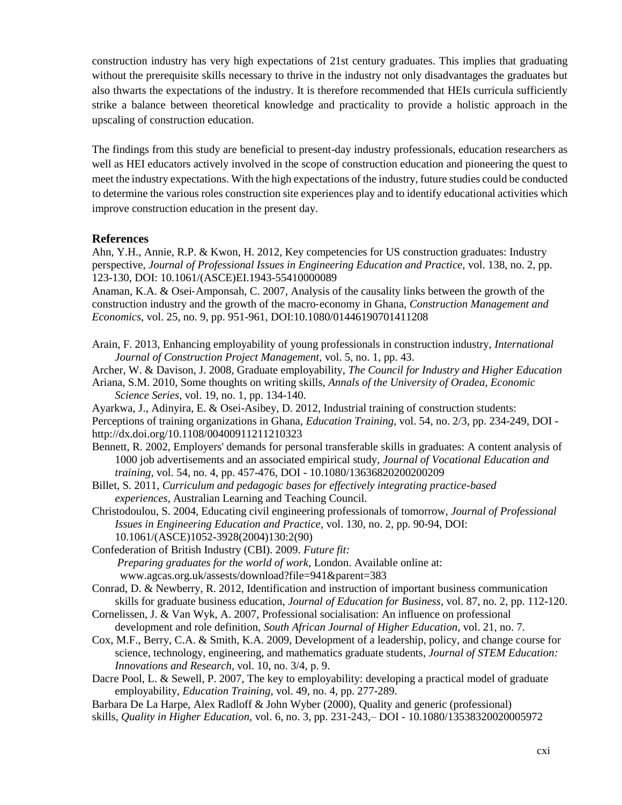construction industry has very high expectations of 21st century graduates. This implies that graduating without the prerequisite skills necessary to thrive in the industry not only disadvantages the graduates but also thwarts the expectations of the industry. It is therefore recommended that HEIs curricula sufficiently strike a balance between theoretical knowledge and practicality to provide a holistic approach in the upscaling of construction education.

The findings from this study are beneficial to present-day industry professionals, education researchers as well as HEI educators actively involved in the scope of construction education and pioneering the quest to meet the industry expectations. With the high expectations of the industry, future studies could be conducted to determine the various roles construction site experiences play and to identify educational activities which improve construction education in the present day.

#### **References**

Ahn, Y.H., Annie, R.P. & Kwon, H. 2012, Key competencies for US construction graduates: Industry perspective, *Journal of Professional Issues in Engineering Education and Practice,* vol. 138, no. 2, pp. 123-130, DOI: 10.1061/(ASCE)EI.1943-55410000089

Anaman, K.A. & Osei‐Amponsah, C. 2007, Analysis of the causality links between the growth of the construction industry and the growth of the macro‐economy in Ghana, *Construction Management and Economics,* vol. 25, no. 9, pp. 951-961, DOI:10.1080/01446190701411208

Arain, F. 2013, Enhancing employability of young professionals in construction industry, *International Journal of Construction Project Management,* vol. 5, no. 1, pp. 43.

Archer, W. & Davison, J. 2008, Graduate employability, *The Council for Industry and Higher Education* Ariana, S.M. 2010, Some thoughts on writing skills, *Annals of the University of Oradea, Economic* 

*Science Series,* vol. 19, no. 1, pp. 134-140.

Ayarkwa, J., Adinyira, E. & Osei-Asibey, D. 2012, Industrial training of construction students: Perceptions of training organizations in Ghana, *Education Training,* vol. 54, no. 2/3, pp. 234-249, DOI http://dx.doi.org/10.1108/00400911211210323

Bennett, R. 2002, Employers' demands for personal transferable skills in graduates: A content analysis of 1000 job advertisements and an associated empirical study, *Journal of Vocational Education and training,* vol. 54, no. 4, pp. 457-476, DOI - 10.1080/13636820200200209

Billet, S. 2011, *Curriculum and pedagogic bases for effectively integrating practice-based experiences,* Australian Learning and Teaching Council.

Christodoulou, S. 2004, Educating civil engineering professionals of tomorrow, *Journal of Professional Issues in Engineering Education and Practice,* vol. 130, no. 2, pp. 90-94, DOI: 10.1061/(ASCE)1052-3928(2004)130:2(90)

Confederation of British Industry (CBI). 2009. *Future fit: Preparing graduates for the world of work*, London. Available online at: www.agcas.org.uk/assests/download?file=941&parent=383

Conrad, D. & Newberry, R. 2012, Identification and instruction of important business communication skills for graduate business education, *Journal of Education for Business,* vol. 87, no. 2, pp. 112-120.

- Cornelissen, J. & Van Wyk, A. 2007, Professional socialisation: An influence on professional development and role definition, *South African Journal of Higher Education,* vol. 21, no. 7.
- Cox, M.F., Berry, C.A. & Smith, K.A. 2009, Development of a leadership, policy, and change course for science, technology, engineering, and mathematics graduate students, *Journal of STEM Education: Innovations and Research,* vol. 10, no. 3/4, p. 9.

Dacre Pool, L. & Sewell, P. 2007, The key to employability: developing a practical model of graduate employability, *Education Training,* vol. 49, no. 4, pp. 277-289.

Barbara De La Harpe, Alex Radloff & John Wyber (2000), Quality and generic (professional)

skills, *Quality in Higher Education,* vol. 6, no. 3, pp. 231-243,– DOI - 10.1080/13538320020005972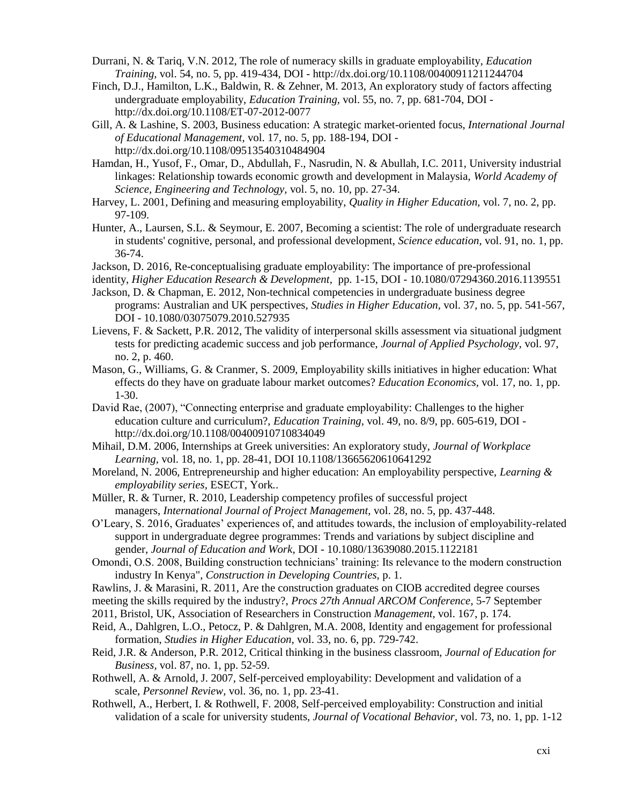- Durrani, N. & Tariq, V.N. 2012, The role of numeracy skills in graduate employability, *Education Training,* vol. 54, no. 5, pp. 419-434, DOI - http://dx.doi.org/10.1108/00400911211244704
- Finch, D.J., Hamilton, L.K., Baldwin, R. & Zehner, M. 2013, An exploratory study of factors affecting undergraduate employability, *Education Training,* vol. 55, no. 7, pp. 681-704, DOI http://dx.doi.org/10.1108/ET-07-2012-0077
- Gill, A. & Lashine, S. 2003, Business education: A strategic market-oriented focus, *International Journal of Educational Management,* vol. 17, no. 5, pp. 188-194, DOI http://dx.doi.org/10.1108/09513540310484904
- Hamdan, H., Yusof, F., Omar, D., Abdullah, F., Nasrudin, N. & Abullah, I.C. 2011, University industrial linkages: Relationship towards economic growth and development in Malaysia, *World Academy of Science, Engineering and Technology,* vol. 5, no. 10, pp. 27-34.
- Harvey, L. 2001, Defining and measuring employability, *Quality in Higher Education,* vol. 7, no. 2, pp. 97-109.
- Hunter, A., Laursen, S.L. & Seymour, E. 2007, Becoming a scientist: The role of undergraduate research in students' cognitive, personal, and professional development, *Science education,* vol. 91, no. 1, pp. 36-74.
- Jackson, D. 2016, Re-conceptualising graduate employability: The importance of pre-professional
- identity, *Higher Education Research & Development,* pp. 1-15, DOI 10.1080/07294360.2016.1139551 Jackson, D. & Chapman, E. 2012, Non-technical competencies in undergraduate business degree
- programs: Australian and UK perspectives, *Studies in Higher Education,* vol. 37, no. 5, pp. 541-567, DOI - 10.1080/03075079.2010.527935
- Lievens, F. & Sackett, P.R. 2012, The validity of interpersonal skills assessment via situational judgment tests for predicting academic success and job performance, *Journal of Applied Psychology,* vol. 97, no. 2, p. 460.
- Mason, G., Williams, G. & Cranmer, S. 2009, Employability skills initiatives in higher education: What effects do they have on graduate labour market outcomes? *Education Economics,* vol. 17, no. 1, pp. 1-30.
- David Rae, (2007), "Connecting enterprise and graduate employability: Challenges to the higher education culture and curriculum?, *Education Training,* vol. 49, no. 8/9, pp. 605-619, DOI http://dx.doi.org/10.1108/00400910710834049
- Mihail, D.M. 2006, Internships at Greek universities: An exploratory study, *Journal of Workplace Learning,* vol. 18, no. 1, pp. 28-41, DOI 10.1108/13665620610641292
- Moreland, N. 2006, Entrepreneurship and higher education: An employability perspective, *Learning & employability series,* ESECT, York*.*.
- Müller, R. & Turner, R. 2010, Leadership competency profiles of successful project managers, *International Journal of Project Management,* vol. 28, no. 5, pp. 437-448.
- O'Leary, S. 2016, Graduates' experiences of, and attitudes towards, the inclusion of employability-related support in undergraduate degree programmes: Trends and variations by subject discipline and gender, *Journal of Education and Work*, DOI - 10.1080/13639080.2015.1122181
- Omondi, O.S. 2008, Building construction technicians' training: Its relevance to the modern construction industry In Kenya", *Construction in Developing Countries,* p. 1.
- Rawlins, J. & Marasini, R. 2011, Are the construction graduates on CIOB accredited degree courses
- meeting the skills required by the industry?, *Procs 27th Annual ARCOM Conference,* 5-7 September
- 2011, Bristol, UK, Association of Researchers in Construction *Management,* vol. 167, p. 174.
- Reid, A., Dahlgren, L.O., Petocz, P. & Dahlgren, M.A. 2008, Identity and engagement for professional formation, *Studies in Higher Education,* vol. 33, no. 6, pp. 729-742.
- Reid, J.R. & Anderson, P.R. 2012, Critical thinking in the business classroom, *Journal of Education for Business,* vol. 87, no. 1, pp. 52-59.
- Rothwell, A. & Arnold, J. 2007, Self-perceived employability: Development and validation of a scale, *Personnel Review,* vol. 36, no. 1, pp. 23-41.
- Rothwell, A., Herbert, I. & Rothwell, F. 2008, Self-perceived employability: Construction and initial validation of a scale for university students, *Journal of Vocational Behavior,* vol. 73, no. 1, pp. 1-12